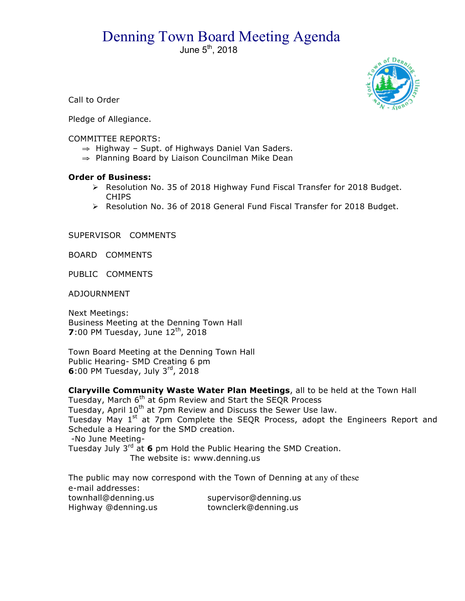## Denning Town Board Meeting Agenda

June  $5<sup>th</sup>$ , 2018



Call to Order

Pledge of Allegiance.

## COMMITTEE REPORTS:

- ⇒ Highway Supt. of Highways Daniel Van Saders.
- ⇒ Planning Board by Liaison Councilman Mike Dean

## **Order of Business:**

- ! Resolution No. 35 of 2018 Highway Fund Fiscal Transfer for 2018 Budget. CHIPS
- ! Resolution No. 36 of 2018 General Fund Fiscal Transfer for 2018 Budget.

SUPERVISOR COMMENTS

BOARD COMMENTS

PUBLIC COMMENTS

ADJOURNMENT

Next Meetings: Business Meeting at the Denning Town Hall **7**:00 PM Tuesday, June 12<sup>th</sup>, 2018

Town Board Meeting at the Denning Town Hall Public Hearing- SMD Creating 6 pm **6**:00 PM Tuesday, July 3rd, 2018

**Claryville Community Waste Water Plan Meetings**, all to be held at the Town Hall Tuesday, March 6<sup>th</sup> at 6pm Review and Start the SEQR Process

Tuesday, April 10<sup>th</sup> at 7pm Review and Discuss the Sewer Use law.

Tuesday May 1<sup>st</sup> at 7pm Complete the SEQR Process, adopt the Engineers Report and Schedule a Hearing for the SMD creation.

-No June Meeting-

Tuesday July 3<sup>rd</sup> at 6 pm Hold the Public Hearing the SMD Creation. The website is: www.denning.us

The public may now correspond with the Town of Denning at any of these e-mail addresses: townhall@denning.us supervisor@denning.us Highway @denning.us townclerk@denning.us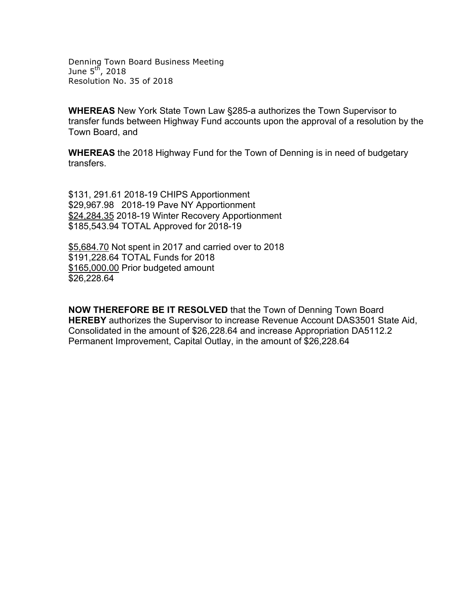Denning Town Board Business Meeting June  $5^{\text{th}}$ , 2018 Resolution No. 35 of 2018

**WHEREAS** New York State Town Law §285-a authorizes the Town Supervisor to transfer funds between Highway Fund accounts upon the approval of a resolution by the Town Board, and

**WHEREAS** the 2018 Highway Fund for the Town of Denning is in need of budgetary transfers.

\$131, 291.61 2018-19 CHIPS Apportionment \$29,967.98 2018-19 Pave NY Apportionment \$24,284.35 2018-19 Winter Recovery Apportionment \$185,543.94 TOTAL Approved for 2018-19

\$5,684.70 Not spent in 2017 and carried over to 2018 \$191,228.64 TOTAL Funds for 2018 \$165,000.00 Prior budgeted amount \$26,228.64

**NOW THEREFORE BE IT RESOLVED** that the Town of Denning Town Board **HEREBY** authorizes the Supervisor to increase Revenue Account DAS3501 State Aid, Consolidated in the amount of \$26,228.64 and increase Appropriation DA5112.2 Permanent Improvement, Capital Outlay, in the amount of \$26,228.64